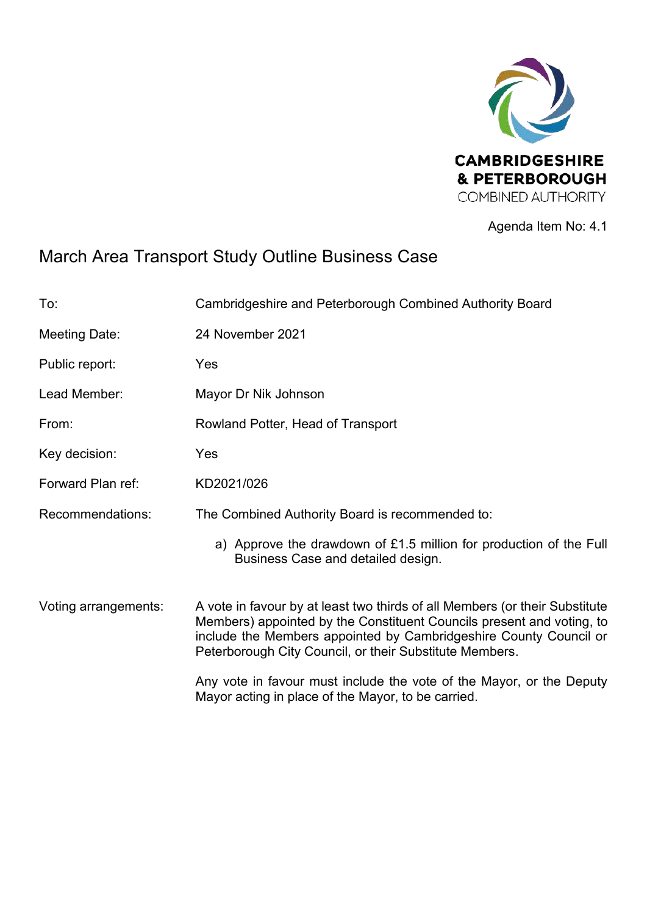

Agenda Item No: 4.1

## March Area Transport Study Outline Business Case

| To:                  | Cambridgeshire and Peterborough Combined Authority Board                                                                                                                                                                                                                             |
|----------------------|--------------------------------------------------------------------------------------------------------------------------------------------------------------------------------------------------------------------------------------------------------------------------------------|
| Meeting Date:        | 24 November 2021                                                                                                                                                                                                                                                                     |
| Public report:       | Yes                                                                                                                                                                                                                                                                                  |
| Lead Member:         | Mayor Dr Nik Johnson                                                                                                                                                                                                                                                                 |
| From:                | Rowland Potter, Head of Transport                                                                                                                                                                                                                                                    |
| Key decision:        | Yes                                                                                                                                                                                                                                                                                  |
| Forward Plan ref:    | KD2021/026                                                                                                                                                                                                                                                                           |
| Recommendations:     | The Combined Authority Board is recommended to:                                                                                                                                                                                                                                      |
|                      | a) Approve the drawdown of £1.5 million for production of the Full<br>Business Case and detailed design.                                                                                                                                                                             |
| Voting arrangements: | A vote in favour by at least two thirds of all Members (or their Substitute<br>Members) appointed by the Constituent Councils present and voting, to<br>include the Members appointed by Cambridgeshire County Council or<br>Peterborough City Council, or their Substitute Members. |
|                      | Any vote in favour must include the vote of the Mayor, or the Deputy<br>Mayor acting in place of the Mayor, to be carried.                                                                                                                                                           |